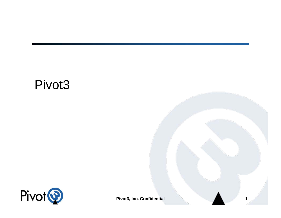#### Pivot3



**Pivot3, Inc. Confidential 1**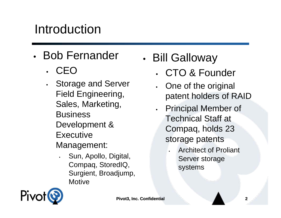#### Introduction

- Bob Fernander
	- CEO
	- Storage and Server Field Engineering, Sales, Marketing, **Business** Development & **Executive** Management:
		- Sun, Apollo, Digital, Compaq, StoredIQ, Surgient, Broadjump, **Motive**
- Bill Galloway
	- CTO & Founder
	- One of the original patent holders of RAID
	- Principal Member of Technical Staff at Compaq, holds 23 storage patents
		- Architect of Proliant Server storage systems

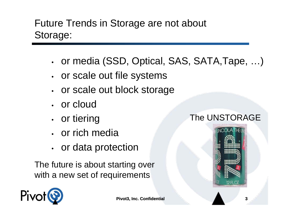#### Future Trends in Storage are not about Storage:

- or media (SSD, Optical, SAS, SATA,Tape, …)
- or scale out file systems
- or scale out block storage
- or cloud
- or tiering
- or rich media
- or data protection

The future is about starting over with a new set of requirements

#### The UNSTORAGE



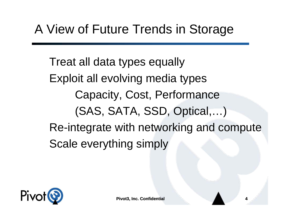Treat all data types equally Exploit all evolving media types Capacity, Cost, Performance (SAS, SATA, SSD, Optical,…) Re-integrate with networking and compute Scale everything simply

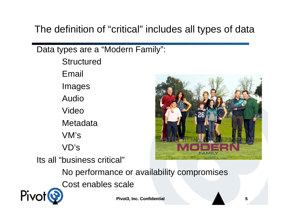The definition of "critical" includes all types of data

Data types are a "Modern Family":

**Structured** Email Images AudioVideo**Metadata** VM'sVD'sIts all "business critical"

Pivc



No performance or availability compromises Cost enables scale

**Pivot3, Inc. Confidential 5**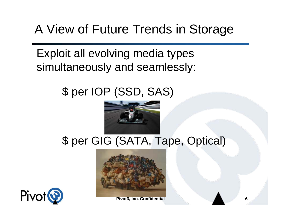# A View of Future Trends in Storage

Exploit all evolving media types simultaneously and seamlessly:

#### \$ per IOP (SSD, SAS)



#### \$ per GIG (SATA, Tape, Optical)





**Pivot3, Inc. Confidential 6**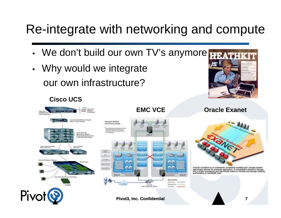### Re-integrate with networking and compute

Site C

Chin M2 tutkiç'dik Officer فراند

**Gelwink Kay** Liste Airport Manageme

IF Suscepts

Site B

- We don't build our own TV's anymore
- Why would we integrate our own infrastructure?



#### **Cisco UCS**







Exanet's ExaStore is an automated, completely scalable grid storage system specifically tailored for premedia application. It consolidates islands of storage into a single namespace and seamlessly scales to virtually any storage capacity<br>performance or bandwidth level.